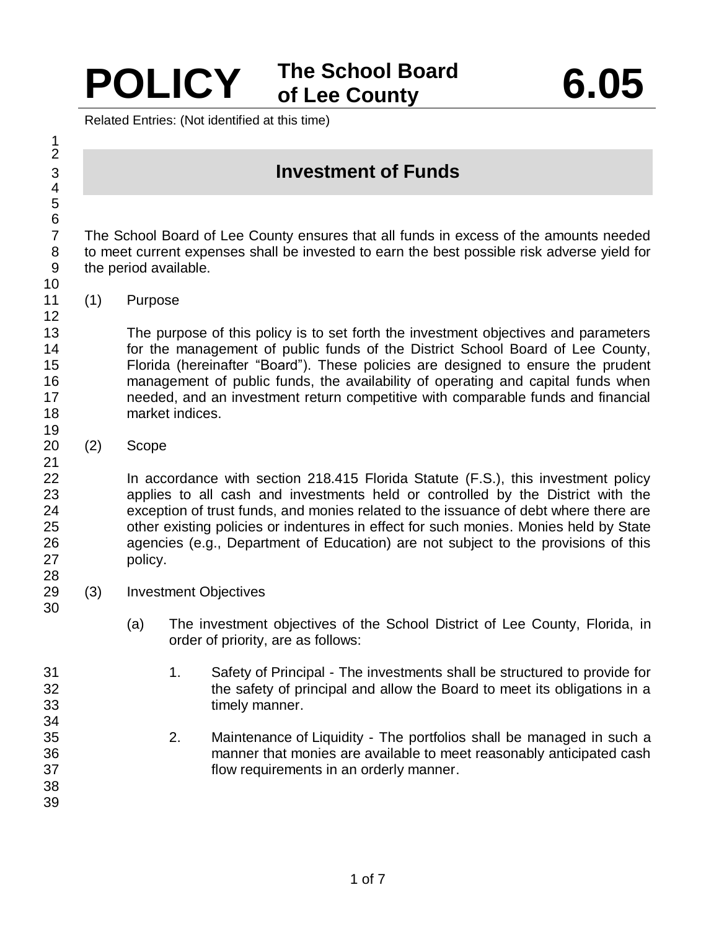## **POLICY The School Board of Lee County 6.05**

Related Entries: (Not identified at this time)

## **Investment of Funds**

 The School Board of Lee County ensures that all funds in excess of the amounts needed to meet current expenses shall be invested to earn the best possible risk adverse yield for the period available.

(1) Purpose

 The purpose of this policy is to set forth the investment objectives and parameters for the management of public funds of the District School Board of Lee County, Florida (hereinafter "Board"). These policies are designed to ensure the prudent management of public funds, the availability of operating and capital funds when needed, and an investment return competitive with comparable funds and financial market indices.

(2) Scope

 In accordance with section 218.415 Florida Statute (F.S.), this investment policy applies to all cash and investments held or controlled by the District with the exception of trust funds, and monies related to the issuance of debt where there are other existing policies or indentures in effect for such monies. Monies held by State agencies (e.g., Department of Education) are not subject to the provisions of this policy.

- (3) Investment Objectives
	- (a) The investment objectives of the School District of Lee County, Florida, in order of priority, are as follows:
- 1. Safety of Principal The investments shall be structured to provide for the safety of principal and allow the Board to meet its obligations in a timely manner. 2. Maintenance of Liquidity - The portfolios shall be managed in such a manner that monies are available to meet reasonably anticipated cash flow requirements in an orderly manner.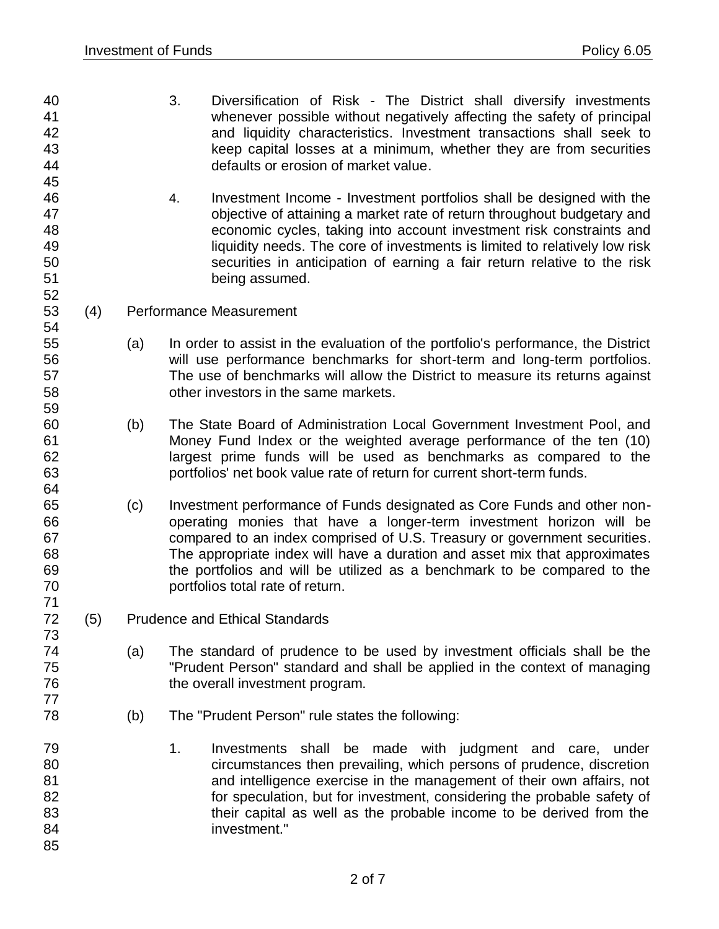- 3. Diversification of Risk The District shall diversify investments whenever possible without negatively affecting the safety of principal and liquidity characteristics. Investment transactions shall seek to keep capital losses at a minimum, whether they are from securities defaults or erosion of market value.
- 4. Investment Income Investment portfolios shall be designed with the objective of attaining a market rate of return throughout budgetary and economic cycles, taking into account investment risk constraints and liquidity needs. The core of investments is limited to relatively low risk securities in anticipation of earning a fair return relative to the risk being assumed.
- (4) Performance Measurement

- (a) In order to assist in the evaluation of the portfolio's performance, the District will use performance benchmarks for short-term and long-term portfolios. The use of benchmarks will allow the District to measure its returns against other investors in the same markets.
- (b) The State Board of Administration Local Government Investment Pool, and Money Fund Index or the weighted average performance of the ten (10) largest prime funds will be used as benchmarks as compared to the portfolios' net book value rate of return for current short-term funds.
- (c) Investment performance of Funds designated as Core Funds and other non- operating monies that have a longer-term investment horizon will be compared to an index comprised of U.S. Treasury or government securities. The appropriate index will have a duration and asset mix that approximates the portfolios and will be utilized as a benchmark to be compared to the portfolios total rate of return.
- (5) Prudence and Ethical Standards
- (a) The standard of prudence to be used by investment officials shall be the "Prudent Person" standard and shall be applied in the context of managing 76 the overall investment program.
- (b) The "Prudent Person" rule states the following:
- 1. Investments shall be made with judgment and care, under circumstances then prevailing, which persons of prudence, discretion and intelligence exercise in the management of their own affairs, not **for speculation, but for investment, considering the probable safety of their capital as well as the probable income to be derived from the**  investment."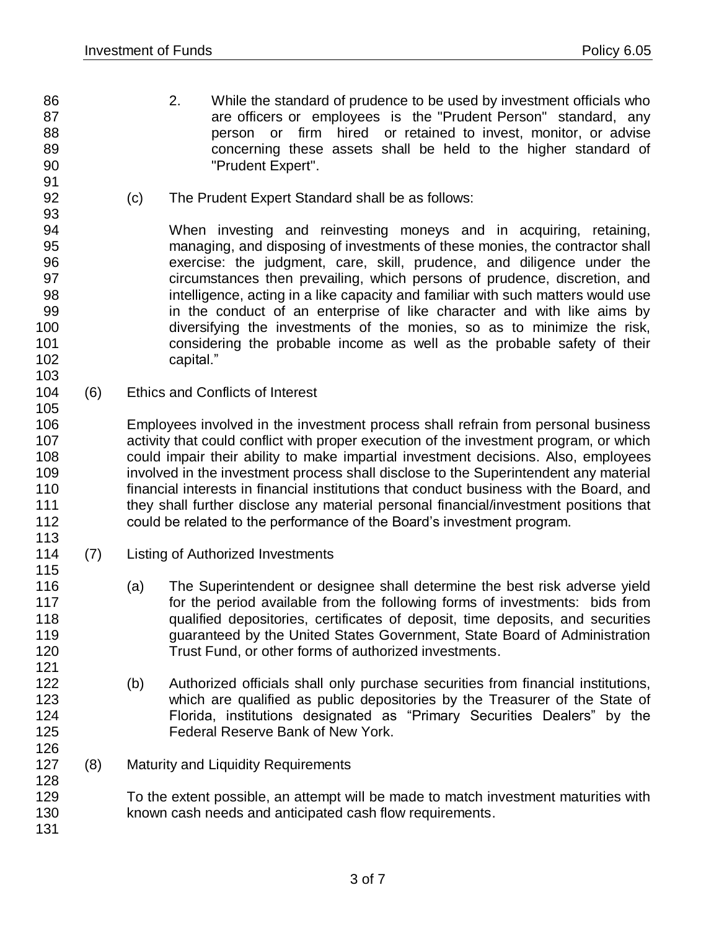- 2. While the standard of prudence to be used by investment officials who 87 are officers or employees is the "Prudent Person" standard, any person or firm hired or retained to invest, monitor, or advise concerning these assets shall be held to the higher standard of
- "Prudent Expert".
- -
	-
	-
	-
- 

- 
- 

(c) The Prudent Expert Standard shall be as follows:

 When investing and reinvesting moneys and in acquiring, retaining, managing, and disposing of investments of these monies, the contractor shall 96 exercise: the judgment, care, skill, prudence, and diligence under the<br>97 exercimistances then prevailing, which persons of prudence, discretion, and circumstances then prevailing, which persons of prudence, discretion, and intelligence, acting in a like capacity and familiar with such matters would use in the conduct of an enterprise of like character and with like aims by diversifying the investments of the monies, so as to minimize the risk, considering the probable income as well as the probable safety of their capital."

 (6) Ethics and Conflicts of Interest

 Employees involved in the investment process shall refrain from personal business 107 activity that could conflict with proper execution of the investment program, or which could impair their ability to make impartial investment decisions. Also, employees involved in the investment process shall disclose to the Superintendent any material financial interests in financial institutions that conduct business with the Board, and they shall further disclose any material personal financial/investment positions that could be related to the performance of the Board's investment program.

- (7) Listing of Authorized Investments
- (a) The Superintendent or designee shall determine the best risk adverse yield 117 for the period available from the following forms of investments: bids from qualified depositories, certificates of deposit, time deposits, and securities guaranteed by the United States Government, State Board of Administration Trust Fund, or other forms of authorized investments.
- (b) Authorized officials shall only purchase securities from financial institutions, 123 which are qualified as public depositories by the Treasurer of the State of Florida, institutions designated as "Primary Securities Dealers" by the Federal Reserve Bank of New York.
- (8) Maturity and Liquidity Requirements

 To the extent possible, an attempt will be made to match investment maturities with known cash needs and anticipated cash flow requirements.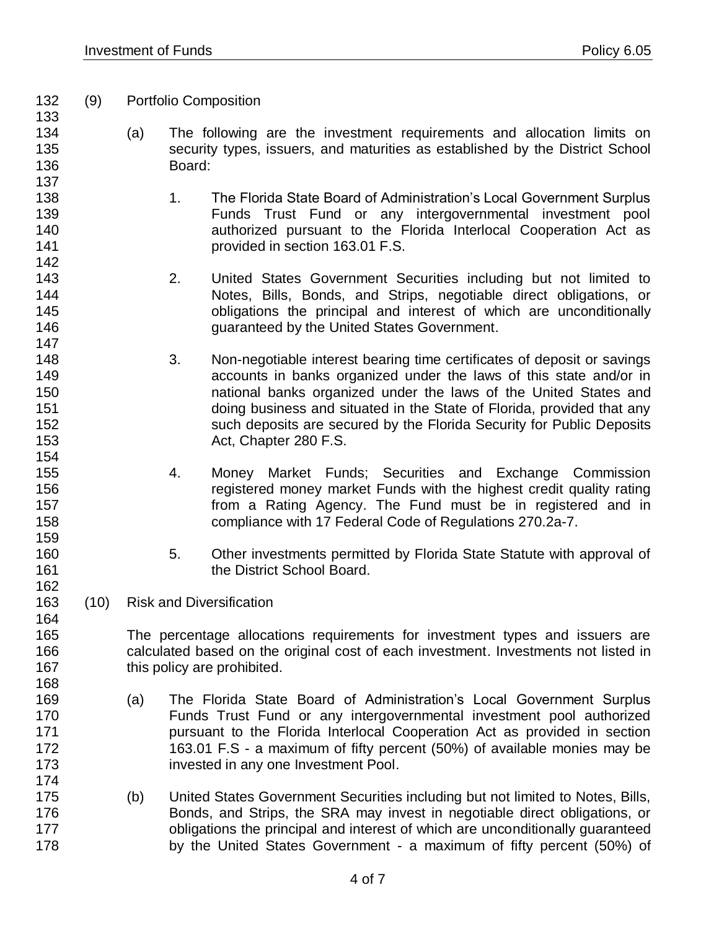(9) Portfolio Composition

142<br>143

- (a) The following are the investment requirements and allocation limits on security types, issuers, and maturities as established by the District School Board:
- 138 138 1. The Florida State Board of Administration's Local Government Surplus Funds Trust Fund or any intergovernmental investment pool authorized pursuant to the Florida Interlocal Cooperation Act as provided in section 163.01 F.S.
- 2. United States Government Securities including but not limited to Notes, Bills, Bonds, and Strips, negotiable direct obligations, or obligations the principal and interest of which are unconditionally guaranteed by the United States Government.
- 3. Non-negotiable interest bearing time certificates of deposit or savings accounts in banks organized under the laws of this state and/or in national banks organized under the laws of the United States and doing business and situated in the State of Florida, provided that any such deposits are secured by the Florida Security for Public Deposits Act, Chapter 280 F.S.
- 4. Money Market Funds; Securities and Exchange Commission registered money market Funds with the highest credit quality rating from a Rating Agency. The Fund must be in registered and in compliance with 17 Federal Code of Regulations 270.2a-7.
- 5. Other investments permitted by Florida State Statute with approval of **the District School Board.**
- (10) Risk and Diversification

 The percentage allocations requirements for investment types and issuers are calculated based on the original cost of each investment. Investments not listed in 167 this policy are prohibited.

- (a) The Florida State Board of Administration's Local Government Surplus Funds Trust Fund or any intergovernmental investment pool authorized **pursuant to the Florida Interlocal Cooperation Act as provided in section**  163.01 F.S - a maximum of fifty percent (50%) of available monies may be invested in any one Investment Pool.
- (b) United States Government Securities including but not limited to Notes, Bills, Bonds, and Strips, the SRA may invest in negotiable direct obligations, or **butch obligations the principal and interest of which are unconditionally guaranteed** by the United States Government - a maximum of fifty percent (50%) of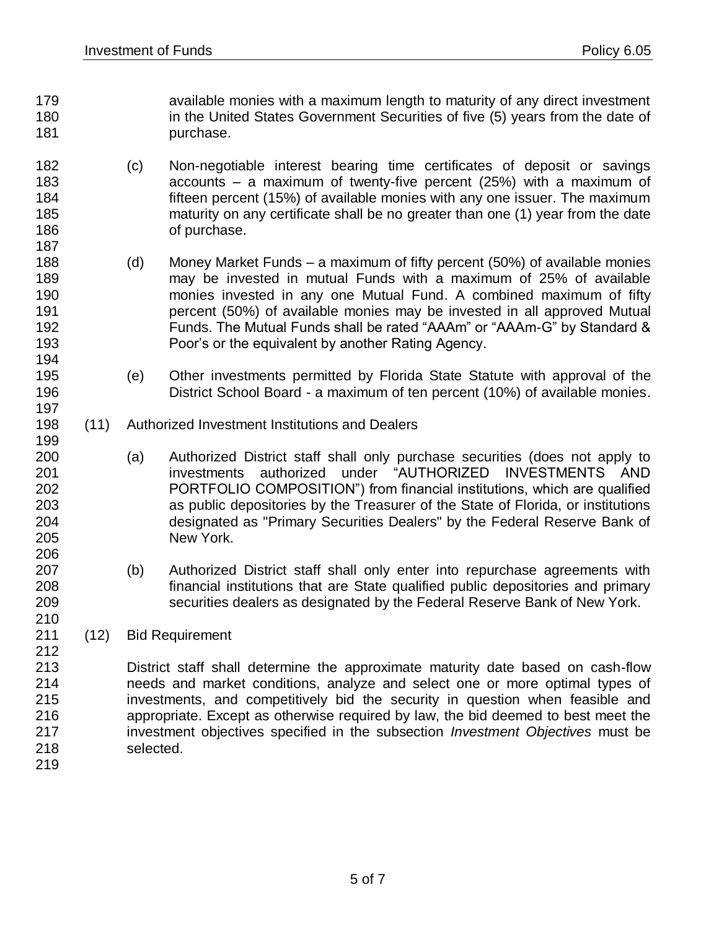- available monies with a maximum length to maturity of any direct investment **in the United States Government Securities of five (5) years from the date of purchase**.
- (c) Non-negotiable interest bearing time certificates of deposit or savings accounts – a maximum of twenty-five percent (25%) with a maximum of fifteen percent (15%) of available monies with any one issuer. The maximum maturity on any certificate shall be no greater than one (1) year from the date 186 of purchase.
- (d) Money Market Funds a maximum of fifty percent (50%) of available monies may be invested in mutual Funds with a maximum of 25% of available monies invested in any one Mutual Fund. A combined maximum of fifty percent (50%) of available monies may be invested in all approved Mutual Funds. The Mutual Funds shall be rated "AAAm" or "AAAm-G" by Standard & Poor's or the equivalent by another Rating Agency.
- (e) Other investments permitted by Florida State Statute with approval of the District School Board - a maximum of ten percent (10%) of available monies.
- (11) Authorized Investment Institutions and Dealers
- (a) Authorized District staff shall only purchase securities (does not apply to investments authorized under "AUTHORIZED INVESTMENTS AND PORTFOLIO COMPOSITION") from financial institutions, which are qualified as public depositories by the Treasurer of the State of Florida, or institutions designated as "Primary Securities Dealers" by the Federal Reserve Bank of New York.
- (b) Authorized District staff shall only enter into repurchase agreements with financial institutions that are State qualified public depositories and primary securities dealers as designated by the Federal Reserve Bank of New York.
- (12) Bid Requirement
- District staff shall determine the approximate maturity date based on cash-flow needs and market conditions, analyze and select one or more optimal types of investments, and competitively bid the security in question when feasible and appropriate. Except as otherwise required by law, the bid deemed to best meet the investment objectives specified in the subsection *Investment Objectives* must be selected.
-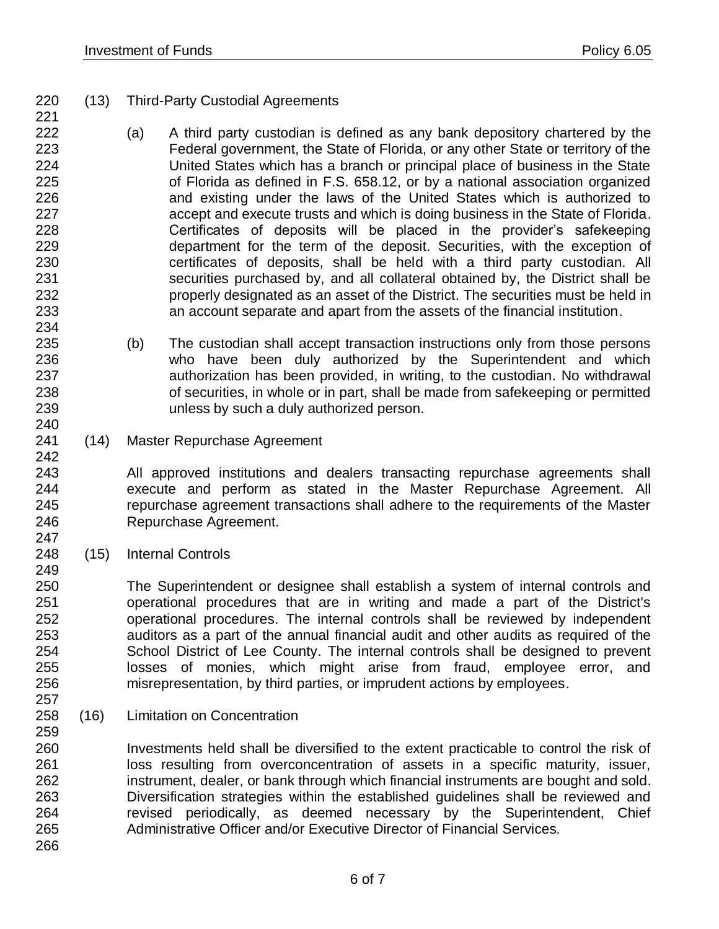- (13) Third-Party Custodial Agreements
- (a) A third party custodian is defined as any bank depository chartered by the Federal government, the State of Florida, or any other State or territory of the United States which has a branch or principal place of business in the State of Florida as defined in F.S. 658.12, or by a national association organized and existing under the laws of the United States which is authorized to accept and execute trusts and which is doing business in the State of Florida. Certificates of deposits will be placed in the provider's safekeeping department for the term of the deposit. Securities, with the exception of certificates of deposits, shall be held with a third party custodian. All securities purchased by, and all collateral obtained by, the District shall be properly designated as an asset of the District. The securities must be held in an account separate and apart from the assets of the financial institution.
- (b) The custodian shall accept transaction instructions only from those persons who have been duly authorized by the Superintendent and which authorization has been provided, in writing, to the custodian. No withdrawal of securities, in whole or in part, shall be made from safekeeping or permitted unless by such a duly authorized person.
- (14) Master Repurchase Agreement

 All approved institutions and dealers transacting repurchase agreements shall execute and perform as stated in the Master Repurchase Agreement. All repurchase agreement transactions shall adhere to the requirements of the Master Repurchase Agreement.

(15) Internal Controls

 The Superintendent or designee shall establish a system of internal controls and operational procedures that are in writing and made a part of the District's operational procedures. The internal controls shall be reviewed by independent auditors as a part of the annual financial audit and other audits as required of the School District of Lee County. The internal controls shall be designed to prevent losses of monies, which might arise from fraud, employee error, and misrepresentation, by third parties, or imprudent actions by employees.

(16) Limitation on Concentration

 Investments held shall be diversified to the extent practicable to control the risk of loss resulting from overconcentration of assets in a specific maturity, issuer, instrument, dealer, or bank through which financial instruments are bought and sold. Diversification strategies within the established guidelines shall be reviewed and revised periodically, as deemed necessary by the Superintendent, Chief Administrative Officer and/or Executive Director of Financial Services.